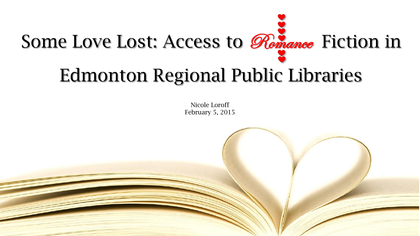

#### Edmonton Regional Public Libraries

Nicole Loroff February 5, 2015

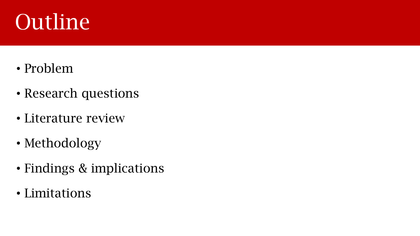## Outline

- Problem
- Research questions
- Literature review
- Methodology
- Findings & implications
- Limitations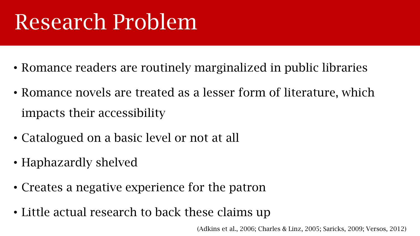## Research Problem

- Romance readers are routinely marginalized in public libraries
- Romance novels are treated as a lesser form of literature, which impacts their accessibility
- Catalogued on a basic level or not at all
- Haphazardly shelved
- Creates a negative experience for the patron
- Little actual research to back these claims up

(Adkins et al., 2006; Charles & Linz, 2005; Saricks, 2009; Versos, 2012)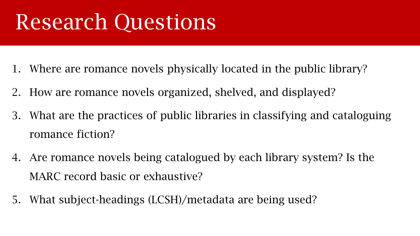### Research Questions

- 1. Where are romance novels physically located in the public library?
- 2. How are romance novels organized, shelved, and displayed?
- 3. What are the practices of public libraries in classifying and cataloguing romance fiction?
- 4. Are romance novels being catalogued by each library system? Is the MARC record basic or exhaustive?
- 5. What subject-headings (LCSH)/metadata are being used?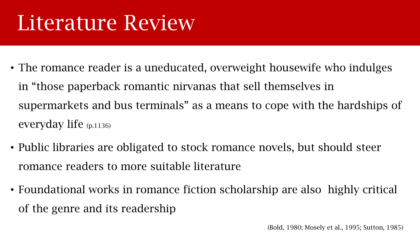#### Literature Review

- The romance reader is a uneducated, overweight housewife who indulges in "those paperback romantic nirvanas that sell themselves in supermarkets and bus terminals" as a means to cope with the hardships of everyday life (p.1136)
- Public libraries are obligated to stock romance novels, but should steer romance readers to more suitable literature
- Foundational works in romance fiction scholarship are also highly critical of the genre and its readership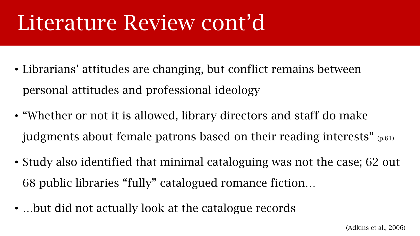#### Literature Review Contraction Literature Review cont'd

- Librarians' attitudes are changing, but conflict remains between personal attitudes and professional ideology
- "Whether or not it is allowed, library directors and staff do make judgments about female patrons based on their reading interests" (p.61)
- Study also identified that minimal cataloguing was not the case; 62 out 68 public libraries "fully" catalogued romance fiction…
- …but did not actually look at the catalogue records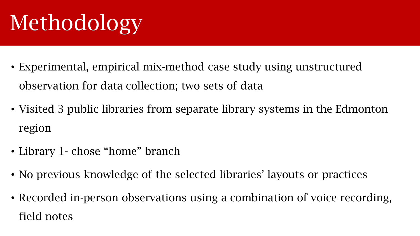# Methodology

- Experimental, empirical mix-method case study using unstructured observation for data collection; two sets of data
- Visited 3 public libraries from separate library systems in the Edmonton region
- Library 1 chose "home" branch
- No previous knowledge of the selected libraries' layouts or practices
- Recorded in-person observations using a combination of voice recording, field notes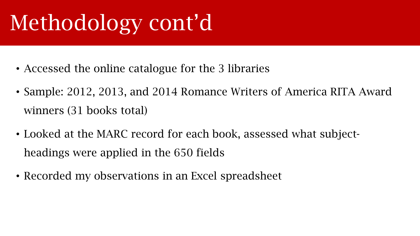# Methodology cont'd

- Accessed the online catalogue for the 3 libraries
- Sample: 2012, 2013, and 2014 Romance Writers of America RITA Award winners (31 books total)
- Looked at the MARC record for each book, assessed what subjectheadings were applied in the 650 fields
- Recorded my observations in an Excel spreadsheet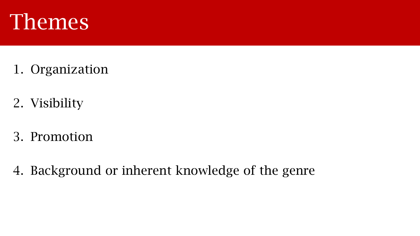

- 1. Organization
- 2. Visibility
- 3. Promotion
- 4. Background or inherent knowledge of the genre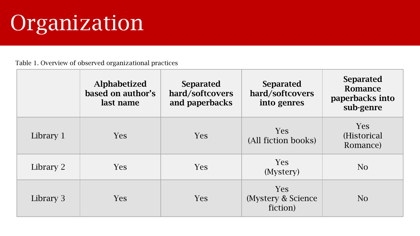## Organization

Table 1. Overview of observed organizational practices

|           | <b>Alphabetized</b><br>based on author's<br>last name | <b>Separated</b><br>hard/softcovers<br>and paperbacks | <b>Separated</b><br>hard/softcovers<br>into genres | <b>Separated</b><br>Romance<br>paperbacks into<br>sub-genre |
|-----------|-------------------------------------------------------|-------------------------------------------------------|----------------------------------------------------|-------------------------------------------------------------|
| Library 1 | <b>Yes</b>                                            | <b>Yes</b>                                            | <b>Yes</b><br>(All fiction books)                  | <b>Yes</b><br>(Historical)<br>Romance)                      |
| Library 2 | <b>Yes</b>                                            | <b>Yes</b>                                            | <b>Yes</b><br>(Mystery)                            | N <sub>O</sub>                                              |
| Library 3 | <b>Yes</b>                                            | <b>Yes</b>                                            | <b>Yes</b><br>(Mystery & Science)<br>fiction)      | N <sub>O</sub>                                              |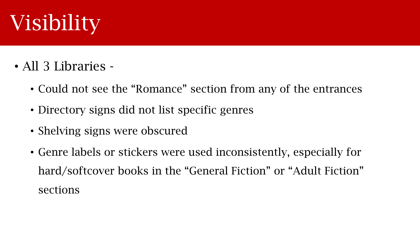## Visibility

- All 3 Libraries
	- Could not see the "Romance" section from any of the entrances
	- Directory signs did not list specific genres
	- Shelving signs were obscured
	- Genre labels or stickers were used inconsistently, especially for hard/softcover books in the "General Fiction" or "Adult Fiction" sections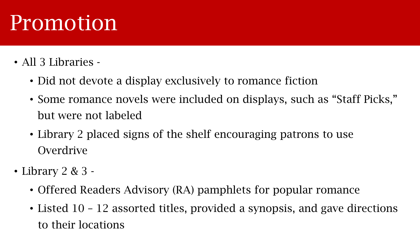#### Promotion

- All 3 Libraries
	- Did not devote a display exclusively to romance fiction
	- Some romance novels were included on displays, such as "Staff Picks," but were not labeled
	- Library 2 placed signs of the shelf encouraging patrons to use **Overdrive**
- Library 2 & 3
	- Offered Readers Advisory (RA) pamphlets for popular romance
	- Listed 10 12 assorted titles, provided a synopsis, and gave directions to their locations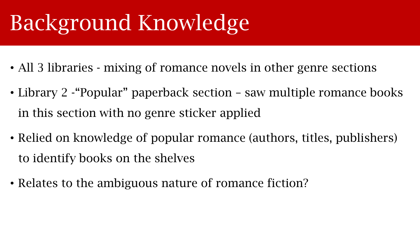## Background Knowledge

- All 3 libraries mixing of romance novels in other genre sections
- Library 2 "Popular" paperback section saw multiple romance books in this section with no genre sticker applied
- Relied on knowledge of popular romance (authors, titles, publishers) to identify books on the shelves
- Relates to the ambiguous nature of romance fiction?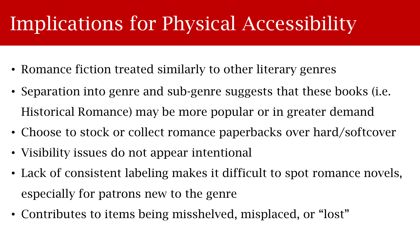#### Implications for Physical Accessibility

- Romance fiction treated similarly to other literary genres
- Separation into genre and sub-genre suggests that these books (i.e. Historical Romance) may be more popular or in greater demand
- Choose to stock or collect romance paperbacks over hard/softcover
- Visibility issues do not appear intentional
- Lack of consistent labeling makes it difficult to spot romance novels, especially for patrons new to the genre
- Contributes to items being misshelved, misplaced, or "lost"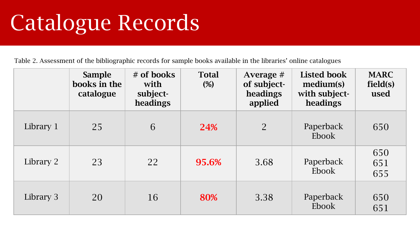## Catalogue Records

Table 2. Assessment of the bibliographic records for sample books available in the libraries' online catalogues

|           | <b>Sample</b><br>books in the<br>catalogue | $#$ of books<br>with<br>subject-<br>headings | <b>Total</b><br>(%) | Average $#$<br>of subject-<br>headings<br>applied | <b>Listed book</b><br>medium(s)<br>with subject-<br>headings | <b>MARC</b><br>field(s)<br>used |
|-----------|--------------------------------------------|----------------------------------------------|---------------------|---------------------------------------------------|--------------------------------------------------------------|---------------------------------|
| Library 1 | 25                                         | 6                                            | 24%                 | $\overline{2}$                                    | Paperback<br>Ebook                                           | 650                             |
| Library 2 | 23                                         | 22                                           | 95.6%               | 3.68                                              | Paperback<br>Ebook                                           | 650<br>651<br>655               |
| Library 3 | 20                                         | 16                                           | 80%                 | 3.38                                              | Paperback<br>Ebook                                           | 650<br>651                      |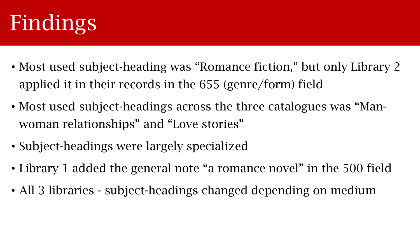

- Most used subject-heading was "Romance fiction," but only Library 2 applied it in their records in the 655 (genre/form) field
- Most used subject-headings across the three catalogues was "Manwoman relationships" and "Love stories"
- Subject-headings were largely specialized
- Library 1 added the general note "a romance novel" in the 500 field
- All 3 libraries subject-headings changed depending on medium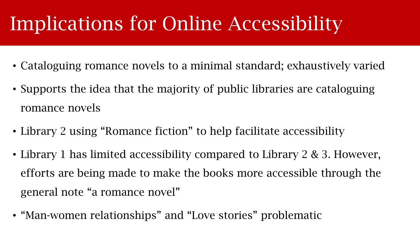#### Implications for Online Accessibility

- Cataloguing romance novels to a minimal standard; exhaustively varied
- Supports the idea that the majority of public libraries are cataloguing romance novels
- Library 2 using "Romance fiction" to help facilitate accessibility
- Library 1 has limited accessibility compared to Library 2 & 3. However, efforts are being made to make the books more accessible through the general note "a romance novel"
- "Man-women relationships" and "Love stories" problematic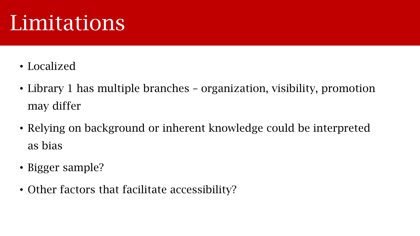#### Limitations

- Localized
- Library 1 has multiple branches organization, visibility, promotion may differ
- Relying on background or inherent knowledge could be interpreted as bias
- Bigger sample?
- Other factors that facilitate accessibility?